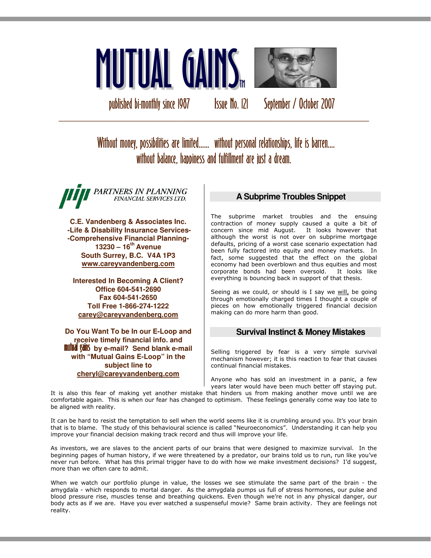

published bi-monthly since 1987 Issue No. 121 September / October 2007

Without money, possibilities are limited...... without personal relationships, life is barren.... without balance, happiness and fulfillment are just a dream.

\_\_\_\_\_\_\_\_\_\_\_\_\_\_\_\_\_\_\_\_\_\_\_\_\_\_\_\_\_\_\_\_\_\_\_\_\_\_\_\_\_\_\_\_\_\_\_\_\_\_\_\_\_\_\_\_\_\_\_\_\_\_\_

PARTNERS IN PLANNING FINANCIAL SERVICES LTD.

**C.E. Vandenberg & Associates Inc. -Life & Disability Insurance Services- -Comprehensive Financial Planning-13230 – 16th Avenue South Surrey, B.C. V4A 1P3 www.careyvandenberg.com**

**Interested In Becoming A Client? Office 604-541-2690 Fax 604-541-2650 Toll Free 1-866-274-1222 carey@careyvandenberg.com**

**Do You Want To be In our E-Loop and receive timely financial info. and<br><b>mutual gains** by e-mail? Send blank e-mail **with "Mutual Gains E-Loop" in the subject line to cheryl@careyvandenberg.com**

# **A Subprime Troubles Snippet**

The subprime market troubles and the ensuing contraction of money supply caused a quite a bit of concern since mid August. It looks however that although the worst is not over on subprime mortgage defaults, pricing of a worst case scenario expectation had been fully factored into equity and money markets. In fact, some suggested that the effect on the global economy had been overblown and thus equities and most corporate bonds had been oversold. It looks like everything is bouncing back in support of that thesis.

Seeing as we could, or should is I say we  $will$ , be going through emotionally charged times I thought a couple of pieces on how emotionally triggered financial decision making can do more harm than good.

## **Survival Instinct & Money Mistakes**

Selling triggered by fear is a very simple survival mechanism however; it is this reaction to fear that causes continual financial mistakes.

Anyone who has sold an investment in a panic, a few years later would have been much better off staying put.

It is also this fear of making yet another mistake that hinders us from making another move until we are comfortable again. This is when our fear has changed to optimism. These feelings generally come way too late to be aligned with reality.

It can be hard to resist the temptation to sell when the world seems like it is crumbling around you. It's your brain that is to blame. The study of this behavioural science is called "Neuroeconomics". Understanding it can help you improve your financial decision making track record and thus will improve your life.

As investors, we are slaves to the ancient parts of our brains that were designed to maximize survival. In the beginning pages of human history, if we were threatened by a predator, our brains told us to run, run like you've never run before. What has this primal trigger have to do with how we make investment decisions? I'd suggest, more than we often care to admit.

When we watch our portfolio plunge in value, the losses we see stimulate the same part of the brain - the amygdala - which responds to mortal danger. As the amygdala pumps us full of stress hormones, our pulse and blood pressure rise, muscles tense and breathing quickens. Even though we're not in any physical danger, our body acts as if we are. Have you ever watched a suspenseful movie? Same brain activity. They are feelings not reality.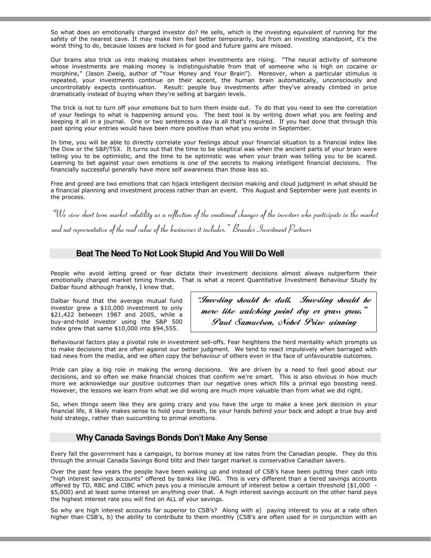So what does an emotionally charged investor do? He sells, which is the investing equivalent of running for the safety of the nearest cave. It may make him feel better temporarily, but from an investing standpoint, it's the worst thing to do, because losses are locked in for good and future gains are missed.

Our brains also trick us into making mistakes when investments are rising. "The neural activity of someone whose investments are making money is indistinguishable from that of someone who is high on cocaine or morphine," (Jason Zweig, author of "Your Money and Your Brain"). Moreover, when a particular stimulus is repeated, your investments continue on their accent, the human brain automatically, unconsciously and uncontrollably expects continuation. Result: people buy investments after they've already climbed in price dramatically instead of buying when they're selling at bargain levels.

The trick is not to turn off your emotions but to turn them inside out. To do that you need to see the correlation of your feelings to what is happening around you. The best tool is by writing down what you are feeling and keeping it all in a journal. One or two sentences a day is all that's required. If you had done that through this past spring your entries would have been more positive than what you wrote in September.

In time, you will be able to directly correlate your feelings about your financial situation to a financial index like the Dow or the S&P/TSX. It turns out that the time to be skeptical was when the ancient parts of your brain were telling you to be optimistic, and the time to be optimistic was when your brain was telling you to be scared. Learning to bet against your own emotions is one of the secrets to making intelligent financial decisions. The financially successful generally have more self awareness than those less so.

Free and greed are two emotions that can hijack intelligent decision making and cloud judgment in what should be a financial planning and investment process rather than an event. This August and September were just events in the process.

 $\lq\mathcal{W}_e$  view short term market volatility as a reflection of the emotional changes of the investors who participate in the market and not representative of the real value of the businesses it includes." Brandes Investment Partners

## **Beat The Need To Not Look Stupid And You Will Do Well**

People who avoid letting greed or fear dictate their investment decisions almost always outperform their emotionally charged market timing friends. That is what a recent Quantitative Investment Behaviour Study by Dalbar found although frankly, I knew that.

Dalbar found that the average mutual fund investor grew a \$10,000 investment to only \$21,422 between 1987 and 2005, while a buy-and-hold investor using the S&P 500 index grew that same \$10,000 into \$94,555.

"Investing should be dull. Investing should be more like watching point dry or grass grow." Paul Samuelson, Nobel Prize winning

economists<br>The conomists

Behavioural factors play a pivotal role in investment sell-offs. Fear heightens the herd mentality which prompts us to make decisions that are often against our better judgment. We tend to react impulsively when barraged with bad news from the media, and we often copy the behaviour of others even in the face of unfavourable outcomes.

Pride can play a big role in making the wrong decisions. We are driven by a need to feel good about our decisions, and so often we make financial choices that confirm we're smart. This is also obvious in how much more we acknowledge our positive outcomes than our negative ones which fills a primal ego boosting need. However, the lessons we learn from what we did wrong are much more valuable than from what we did right.

So, when things seem like they are going crazy and you have the urge to make a knee jerk decision in your financial life, it likely makes sense to hold your breath, tie your hands behind your back and adopt a true buy and hold strategy, rather than succumbing to primal emotions.

## **Why Canada Savings Bonds Don't Make Any Sense**

Every fall the government has a campaign, to borrow money at low rates from the Canadian people. They do this through the annual Canada Savings Bond blitz and their target market is conservative Canadian savers.

Over the past few years the people have been waking up and instead of CSB's have been putting their cash into "high interest savings accounts" offered by banks like ING. This is very different than a tiered savings accounts offered by TD, RBC and CIBC which pays you a miniscule amount of interest below a certain threshold (\$1,000 - \$5,000) and at least some interest on anything over that. A high interest savings account on the other hand pays the highest interest rate you will find on ALL of your savings.

So why are high interest accounts far superior to CSB's? Along with a) paying interest to you at a rate often higher than CSB's, b) the ability to contribute to them monthly (CSB's are often used for in conjunction with an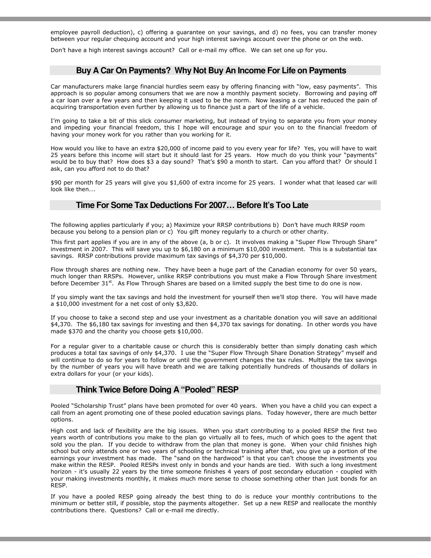employee payroll deduction), c) offering a guarantee on your savings, and d) no fees, you can transfer money between your regular chequing account and your high interest savings account over the phone or on the web.

Don't have a high interest savings account? Call or e-mail my office. We can set one up for you.

### **Buy A Car On Payments? Why Not Buy An Income For Life on Payments**

Car manufacturers make large financial hurdles seem easy by offering financing with "low, easy payments". This approach is so popular among consumers that we are now a monthly payment society. Borrowing and paying off a car loan over a few years and then keeping it used to be the norm. Now leasing a car has reduced the pain of acquiring transportation even further by allowing us to finance just a part of the life of a vehicle.

I'm going to take a bit of this slick consumer marketing, but instead of trying to separate you from your money and impeding your financial freedom, this I hope will encourage and spur you on to the financial freedom of having your money work for you rather than you working for it.

How would you like to have an extra \$20,000 of income paid to you every year for life? Yes, you will have to wait 25 years before this income will start but it should last for 25 years. How much do you think your "payments" would be to buy that? How does \$3 a day sound? That's \$90 a month to start. Can you afford that? Or should I ask, can you afford not to do that?

\$90 per month for 25 years will give you \$1,600 of extra income for 25 years. I wonder what that leased car will look like then….

## **Time For Some Tax Deductions For 2007… Before It's Too Late**

The following applies particularly if you; a) Maximize your RRSP contributions b) Don't have much RRSP room because you belong to a pension plan or c) You gift money regularly to a church or other charity.

This first part applies if you are in any of the above (a, b or c). It involves making a "Super Flow Through Share" investment in 2007. This will save you up to \$6,180 on a minimum \$10,000 investment. This is a substantial tax savings. RRSP contributions provide maximum tax savings of \$4,370 per \$10,000.

Flow through shares are nothing new. They have been a huge part of the Canadian economy for over 50 years, much longer than RRSPs. However, unlike RRSP contributions you must make a Flow Through Share investment before December 31<sup>st</sup>. As Flow Through Shares are based on a limited supply the best time to do one is now.

If you simply want the tax savings and hold the investment for yourself then we'll stop there. You will have made a \$10,000 investment for a net cost of only \$3,820.

If you choose to take a second step and use your investment as a charitable donation you will save an additional \$4,370. The \$6,180 tax savings for investing and then \$4,370 tax savings for donating. In other words you have made \$370 and the charity you choose gets \$10,000.

For a regular giver to a charitable cause or church this is considerably better than simply donating cash which produces a total tax savings of only \$4,370. I use the "Super Flow Through Share Donation Strategy" myself and will continue to do so for years to follow or until the government changes the tax rules. Multiply the tax savings by the number of years you will have breath and we are talking potentially hundreds of thousands of dollars in extra dollars for your (or your kids).

## **Think Twice Before Doing A "Pooled" RESP**

Pooled "Scholarship Trust" plans have been promoted for over 40 years. When you have a child you can expect a call from an agent promoting one of these pooled education savings plans. Today however, there are much better options.

High cost and lack of flexibility are the big issues. When you start contributing to a pooled RESP the first two years worth of contributions you make to the plan go virtually all to fees, much of which goes to the agent that sold you the plan. If you decide to withdraw from the plan that money is gone. When your child finishes high school but only attends one or two years of schooling or technical training after that, you give up a portion of the earnings your investment has made. The "sand on the hardwood" is that you can't choose the investments you make within the RESP. Pooled RESPs invest only in bonds and your hands are tied. With such a long investment horizon - it's usually 22 years by the time someone finishes 4 years of post secondary education - coupled with your making investments monthly, it makes much more sense to choose something other than just bonds for an RESP.

If you have a pooled RESP going already the best thing to do is reduce your monthly contributions to the minimum or better still, if possible, stop the payments altogether. Set up a new RESP and reallocate the monthly contributions there. Questions? Call or e-mail me directly.